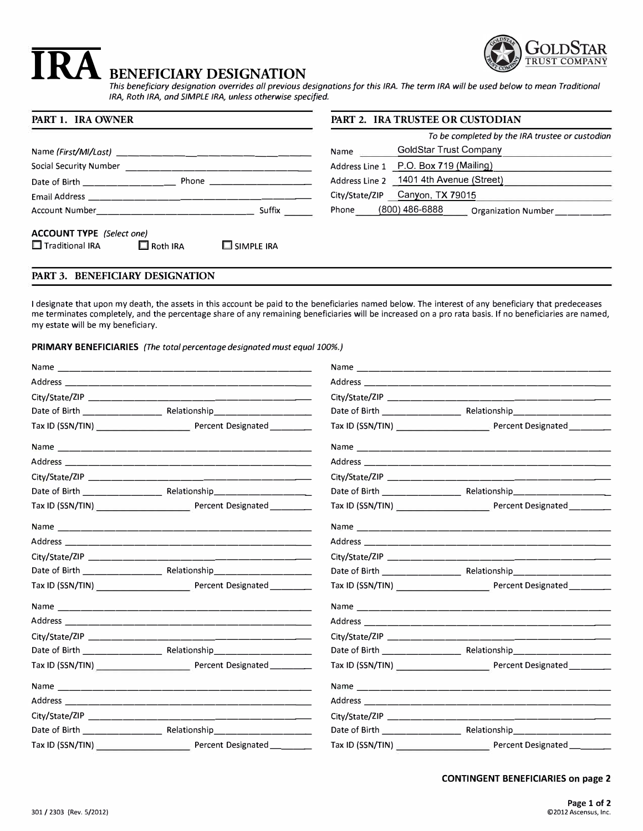

# **IRA** BENEFICIARY DESIGNATION

*This beneficiary designation overrides all previous designations for this IRA. The term IRA will be used below to mean Traditional IRA, Roth IRA, and SIMPLE IRA, unless otherwise specified.* 

| PART 1. IRA OWNER                                                                                                                                                                                                                                                      | <b>PART 2. IRA TRUSTEE OR CUSTODIAN</b>         |  |
|------------------------------------------------------------------------------------------------------------------------------------------------------------------------------------------------------------------------------------------------------------------------|-------------------------------------------------|--|
|                                                                                                                                                                                                                                                                        | To be completed by the IRA trustee or custodian |  |
|                                                                                                                                                                                                                                                                        | GoldStar Trust Company<br>Name                  |  |
| Social Security Number                                                                                                                                                                                                                                                 | Address Line 1 P.O. Box 719 (Mailing)           |  |
| <b>Phone Contract Contract Contract Contract Contract Contract Contract Contract Contract Contract Contract Contract Contract Contract Contract Contract Contract Contract Contract Contract Contract Contract Contract Contra</b><br>Date of Birth <b>Exercise 19</b> | Address Line 2 1401 4th Avenue (Street)         |  |
| Email Address and the state of the state of the state of the state of the state of the state of the state of t                                                                                                                                                         | City/State/ZIP Canyon, TX 79015                 |  |
| Suffix<br>Account Number                                                                                                                                                                                                                                               | (800) 486-6888<br>Phone<br>Organization Number  |  |
| <b>ACCOUNT TYPE</b> (Select one)<br>$\Box$ Traditional IRA<br>$\square$ simple ira<br>$\Box$ Roth IRA                                                                                                                                                                  |                                                 |  |

# **PART 3. BENEFICIARY DESIGNATION**

I designate that upon my death, the assets in this account be paid to the beneficiaries named below. The interest of any beneficiary that predeceases me terminates completely, and the percentage share of any remaining beneficiaries will be increased on a pro rata basis. If no beneficiaries are named, my estate will be my beneficiary.

# **PRIMARY BENEFICIARIES** *(The total percentage designated must equal 100%.)*

|  | Tax ID (SSN/TIN) Percent Designated ______ |  |                                                          |
|--|--------------------------------------------|--|----------------------------------------------------------|
|  |                                            |  |                                                          |
|  |                                            |  |                                                          |
|  |                                            |  |                                                          |
|  |                                            |  |                                                          |
|  | Tax ID (SSN/TIN) Percent Designated        |  | Tax ID (SSN/TIN) Percent Designated                      |
|  |                                            |  |                                                          |
|  |                                            |  |                                                          |
|  |                                            |  |                                                          |
|  |                                            |  |                                                          |
|  |                                            |  | Tax ID (SSN/TIN) Percent Designated                      |
|  |                                            |  |                                                          |
|  |                                            |  |                                                          |
|  |                                            |  |                                                          |
|  |                                            |  |                                                          |
|  |                                            |  | Tax ID (SSN/TIN) Percent Designated                      |
|  |                                            |  |                                                          |
|  |                                            |  |                                                          |
|  |                                            |  |                                                          |
|  |                                            |  | Date of Birth Relationship                               |
|  | Tax ID (SSN/TIN) Percent Designated        |  | Tax ID (SSN/TIN) entertially resource Percent Designated |

## **CONTINGENT BENEFICIARIES on page 2**